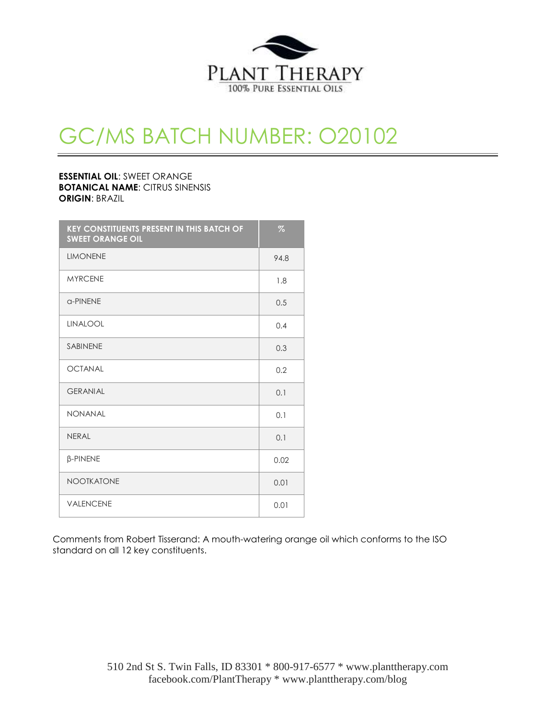

## GC/MS BATCH NUMBER: O20102

**ESSENTIAL OIL**: SWEET ORANGE **BOTANICAL NAME**: CITRUS SINENSIS **ORIGIN**: BRAZIL

| <b>KEY CONSTITUENTS PRESENT IN THIS BATCH OF</b><br><b>SWEET ORANGE OIL</b> | $\%$ |
|-----------------------------------------------------------------------------|------|
| <b>LIMONENE</b>                                                             | 94.8 |
| <b>MYRCENE</b>                                                              | 1.8  |
| a-PINENE                                                                    | 0.5  |
| <b>LINALOOL</b>                                                             | 0.4  |
| <b>SABINENE</b>                                                             | 0.3  |
| <b>OCTANAL</b>                                                              | 0.2  |
| <b>GERANIAL</b>                                                             | 0.1  |
| <b>NONANAL</b>                                                              | 0.1  |
| <b>NFRAI</b>                                                                | 0.1  |
| <b>β-PINENE</b>                                                             | 0.02 |
| <b>NOOTKATONE</b>                                                           | 0.01 |
| <b>VALENCENE</b>                                                            | 0.01 |

Comments from Robert Tisserand: A mouth-watering orange oil which conforms to the ISO standard on all 12 key constituents.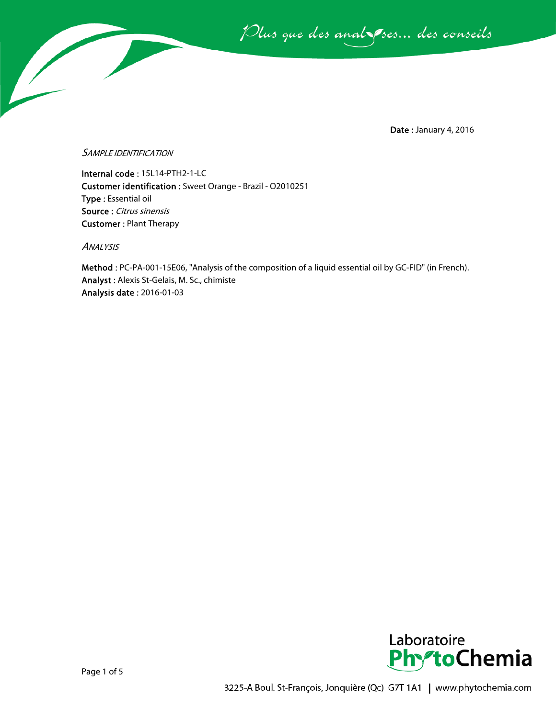Plus que des analsses... des conseils

Date : January 4, 2016

## SAMPLE IDENTIFICATION

Internal code : 15L14-PTH2-1-LC Customer identification : Sweet Orange - Brazil - O2010251 Type : Essential oil Source : Citrus sinensis Customer : Plant Therapy

ANALYSIS

Method : PC-PA-001-15E06, "Analysis of the composition of a liquid essential oil by GC-FID" (in French). Analyst : Alexis St-Gelais, M. Sc., chimiste Analysis date : 2016-01-03

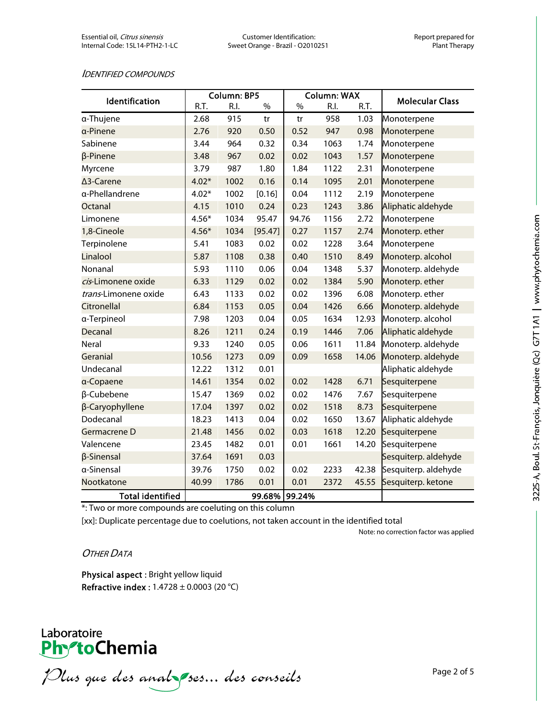## IDENTIFIED COMPOUNDS

| Identification          | Column: BP5 |      |         | <b>Column: WAX</b> |      |       |                        |
|-------------------------|-------------|------|---------|--------------------|------|-------|------------------------|
|                         | R.T.        | R.I. | $\%$    | %                  | R.I. | R.T.  | <b>Molecular Class</b> |
| a-Thujene               | 2.68        | 915  | tr      | tr                 | 958  | 1.03  | Monoterpene            |
| a-Pinene                | 2.76        | 920  | 0.50    | 0.52               | 947  | 0.98  | Monoterpene            |
| Sabinene                | 3.44        | 964  | 0.32    | 0.34               | 1063 | 1.74  | Monoterpene            |
| $\beta$ -Pinene         | 3.48        | 967  | 0.02    | 0.02               | 1043 | 1.57  | Monoterpene            |
| Myrcene                 | 3.79        | 987  | 1.80    | 1.84               | 1122 | 2.31  | Monoterpene            |
| ∆3-Carene               | $4.02*$     | 1002 | 0.16    | 0.14               | 1095 | 2.01  | Monoterpene            |
| a-Phellandrene          | $4.02*$     | 1002 | [0.16]  | 0.04               | 1112 | 2.19  | Monoterpene            |
| Octanal                 | 4.15        | 1010 | 0.24    | 0.23               | 1243 | 3.86  | Aliphatic aldehyde     |
| Limonene                | $4.56*$     | 1034 | 95.47   | 94.76              | 1156 | 2.72  | Monoterpene            |
| 1,8-Cineole             | $4.56*$     | 1034 | [95.47] | 0.27               | 1157 | 2.74  | Monoterp. ether        |
| Terpinolene             | 5.41        | 1083 | 0.02    | 0.02               | 1228 | 3.64  | Monoterpene            |
| Linalool                | 5.87        | 1108 | 0.38    | 0.40               | 1510 | 8.49  | Monoterp. alcohol      |
| Nonanal                 | 5.93        | 1110 | 0.06    | 0.04               | 1348 | 5.37  | Monoterp. aldehyde     |
| cis-Limonene oxide      | 6.33        | 1129 | 0.02    | 0.02               | 1384 | 5.90  | Monoterp. ether        |
| trans-Limonene oxide    | 6.43        | 1133 | 0.02    | 0.02               | 1396 | 6.08  | Monoterp. ether        |
| Citronellal             | 6.84        | 1153 | 0.05    | 0.04               | 1426 | 6.66  | Monoterp. aldehyde     |
| a-Terpineol             | 7.98        | 1203 | 0.04    | 0.05               | 1634 | 12.93 | Monoterp. alcohol      |
| Decanal                 | 8.26        | 1211 | 0.24    | 0.19               | 1446 | 7.06  | Aliphatic aldehyde     |
| Neral                   | 9.33        | 1240 | 0.05    | 0.06               | 1611 | 11.84 | Monoterp. aldehyde     |
| Geranial                | 10.56       | 1273 | 0.09    | 0.09               | 1658 | 14.06 | Monoterp. aldehyde     |
| Undecanal               | 12.22       | 1312 | 0.01    |                    |      |       | Aliphatic aldehyde     |
| a-Copaene               | 14.61       | 1354 | 0.02    | 0.02               | 1428 | 6.71  | Sesquiterpene          |
| β-Cubebene              | 15.47       | 1369 | 0.02    | 0.02               | 1476 | 7.67  | Sesquiterpene          |
| β-Caryophyllene         | 17.04       | 1397 | 0.02    | 0.02               | 1518 | 8.73  | Sesquiterpene          |
| Dodecanal               | 18.23       | 1413 | 0.04    | 0.02               | 1650 | 13.67 | Aliphatic aldehyde     |
| Germacrene D            | 21.48       | 1456 | 0.02    | 0.03               | 1618 | 12.20 | Sesquiterpene          |
| Valencene               | 23.45       | 1482 | 0.01    | 0.01               | 1661 | 14.20 | Sesquiterpene          |
| β-Sinensal              | 37.64       | 1691 | 0.03    |                    |      |       | Sesquiterp. aldehyde   |
| a-Sinensal              | 39.76       | 1750 | 0.02    | 0.02               | 2233 | 42.38 | Sesquiterp. aldehyde   |
| Nootkatone              | 40.99       | 1786 | 0.01    | 0.01               | 2372 | 45.55 | Sesquiterp. ketone     |
| <b>Total identified</b> |             |      | 99.68%  | 99.24%             |      |       |                        |

\*: Two or more compounds are coeluting on this column

[xx]: Duplicate percentage due to coelutions, not taken account in the identified total

Note: no correction factor was applied

## OTHER DATA

Physical aspect : Bright yellow liquid Refractive index : 1.4728 ± 0.0003 (20 °C)



Plus que des analzes... des conseils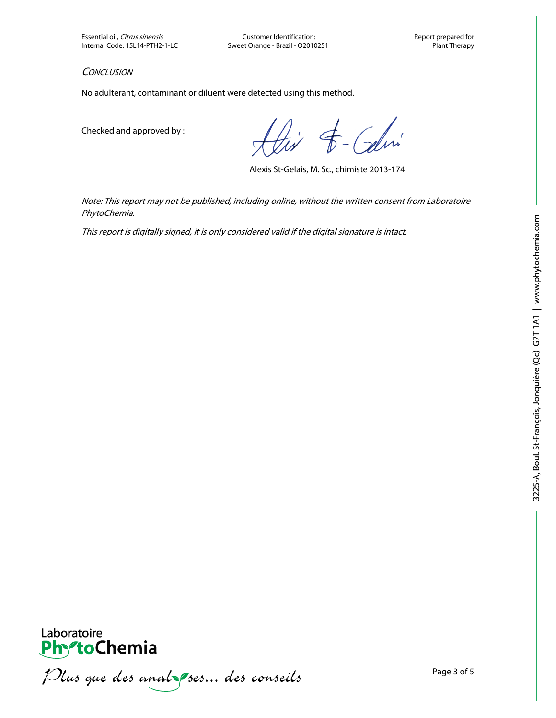Essential oil, Citrus sinensis Customer Identification: Customer Identification: Report prepared for<br>Internal Code: 15L14-PTH2-1-LC Sweet Orange - Brazil - O2010251 Sweet Orange - Brazil - O2010251

**CONCLUSION** 

No adulterant, contaminant or diluent were detected using this method.

Checked and approved by :

- Celvi

Alexis St-Gelais, M. Sc., chimiste 2013-174

Note: This report may not be published, including online, without the written consent from Laboratoire PhytoChemia.

This report is digitally signed, it is only considered valid if the digital signature is intact.



Plus que des analzes... des conseils

Laboratoire

**PhytoChemia**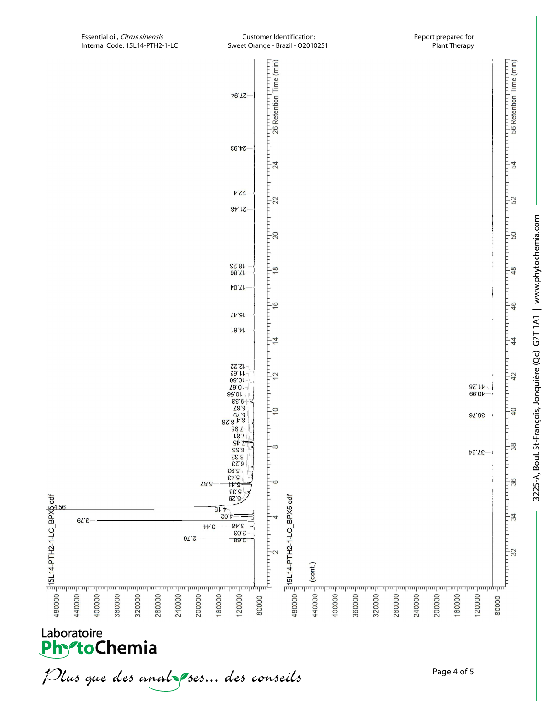



Plus que des analzes... des conseils

Page 4 of 5